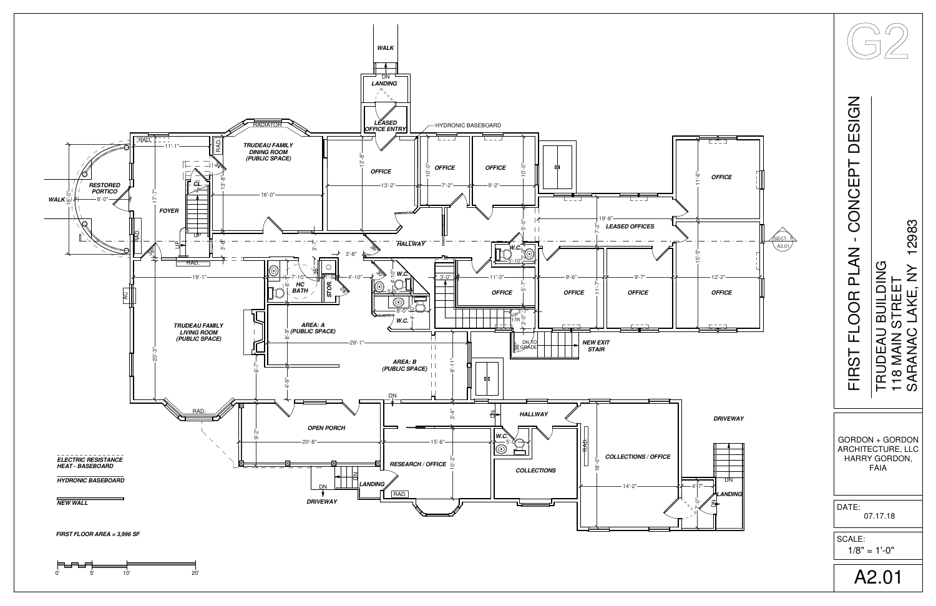

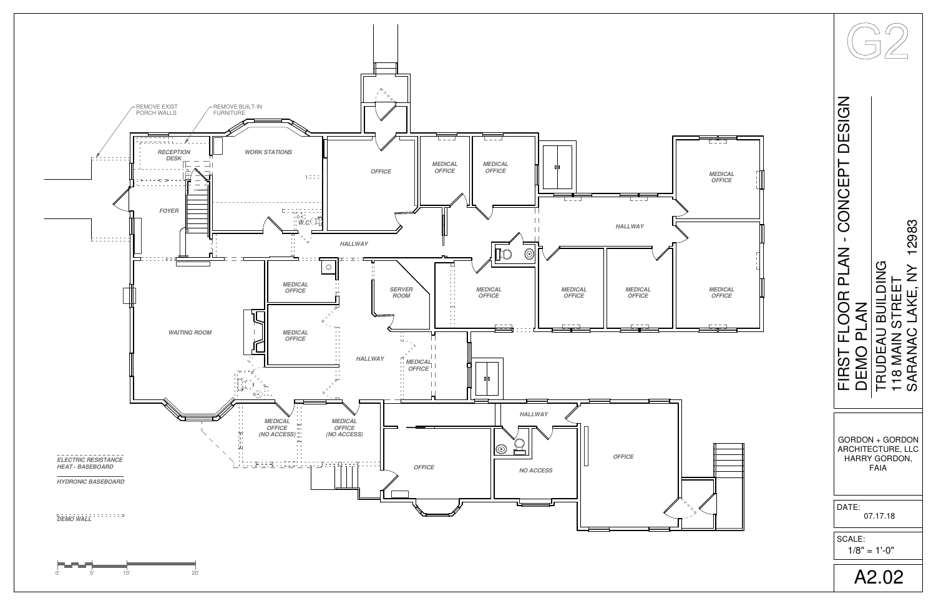

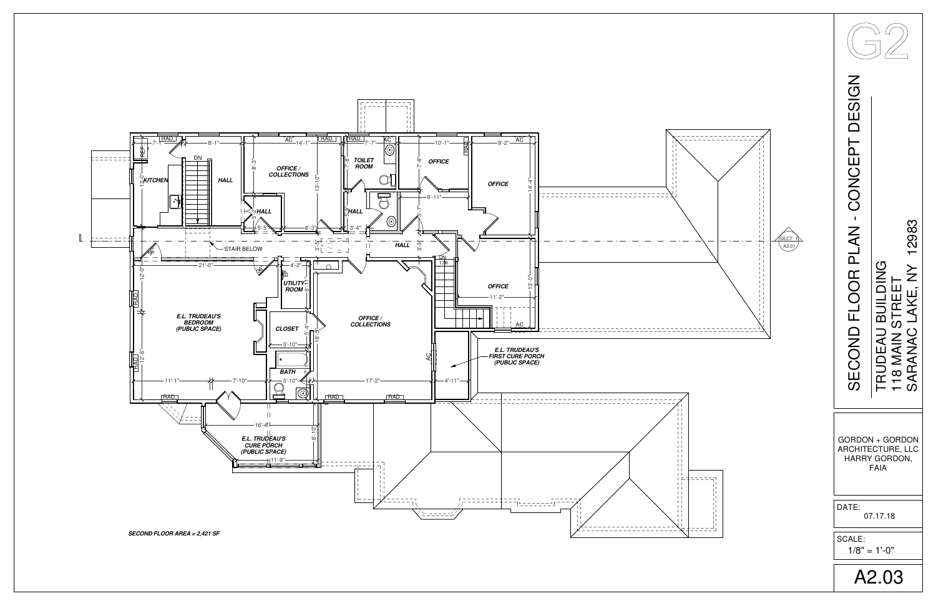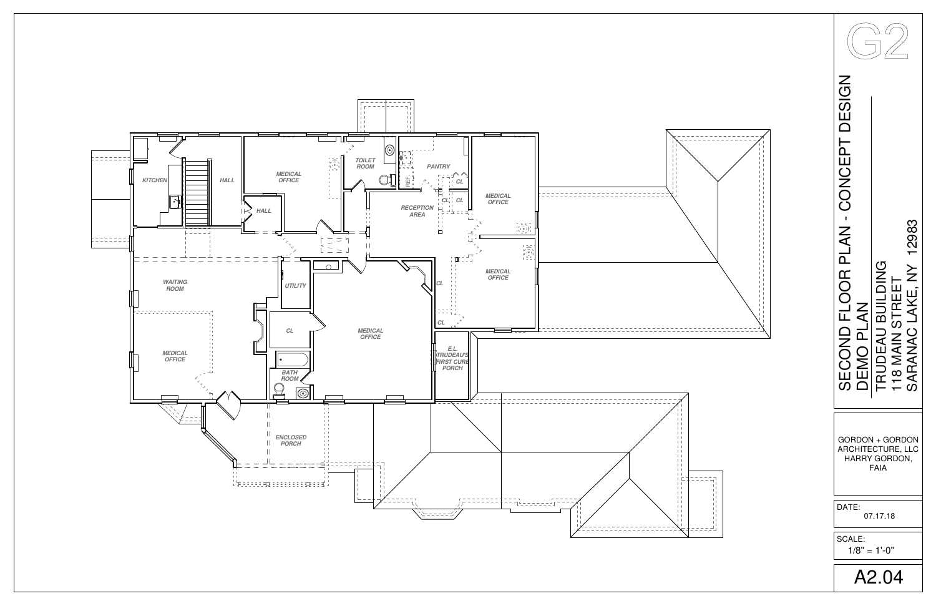